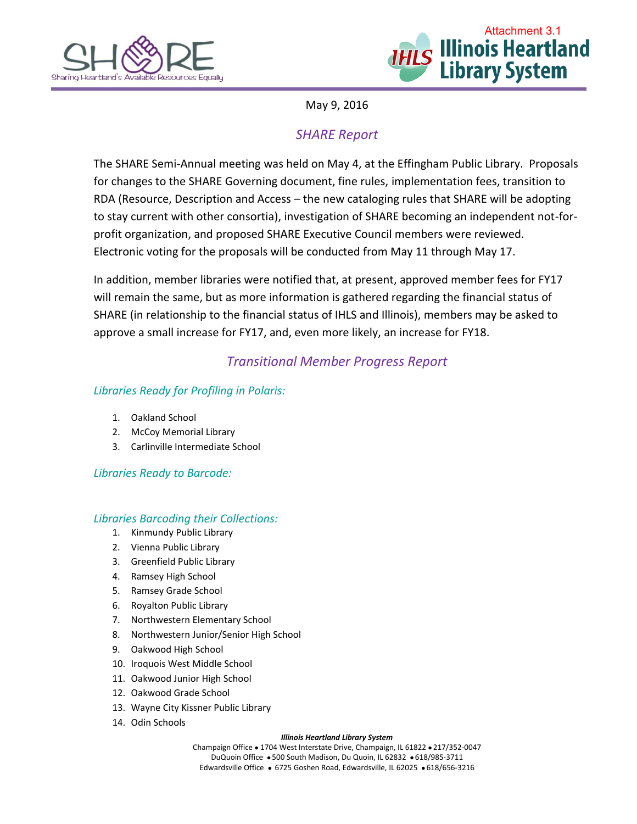



May 9, 2016

# *SHARE Report*

The SHARE Semi-Annual meeting was held on May 4, at the Effingham Public Library. Proposals for changes to the SHARE Governing document, fine rules, implementation fees, transition to RDA (Resource, Description and Access – the new cataloging rules that SHARE will be adopting to stay current with other consortia), investigation of SHARE becoming an independent not-forprofit organization, and proposed SHARE Executive Council members were reviewed. Electronic voting for the proposals will be conducted from May 11 through May 17.

In addition, member libraries were notified that, at present, approved member fees for FY17 will remain the same, but as more information is gathered regarding the financial status of SHARE (in relationship to the financial status of IHLS and Illinois), members may be asked to approve a small increase for FY17, and, even more likely, an increase for FY18.

## *Transitional Member Progress Report*

## *Libraries Ready for Profiling in Polaris:*

- 1. Oakland School
- 2. McCoy Memorial Library
- 3. Carlinville Intermediate School

### *Libraries Ready to Barcode:*

#### *Libraries Barcoding their Collections:*

- 1. Kinmundy Public Library
- 2. Vienna Public Library
- 3. Greenfield Public Library
- 4. Ramsey High School
- 5. Ramsey Grade School
- 6. Royalton Public Library
- 7. Northwestern Elementary School
- 8. Northwestern Junior/Senior High School
- 9. Oakwood High School
- 10. Iroquois West Middle School
- 11. Oakwood Junior High School
- 12. Oakwood Grade School
- 13. Wayne City Kissner Public Library
- 14. Odin Schools

#### *Illinois Heartland Library System*

Champaign Office . 1704 West Interstate Drive, Champaign, IL 61822 . 217/352-0047 DuQuoin Office . 500 South Madison, Du Quoin, IL 62832 . 618/985-3711 Edwardsville Office · 6725 Goshen Road, Edwardsville, IL 62025 · 618/656-3216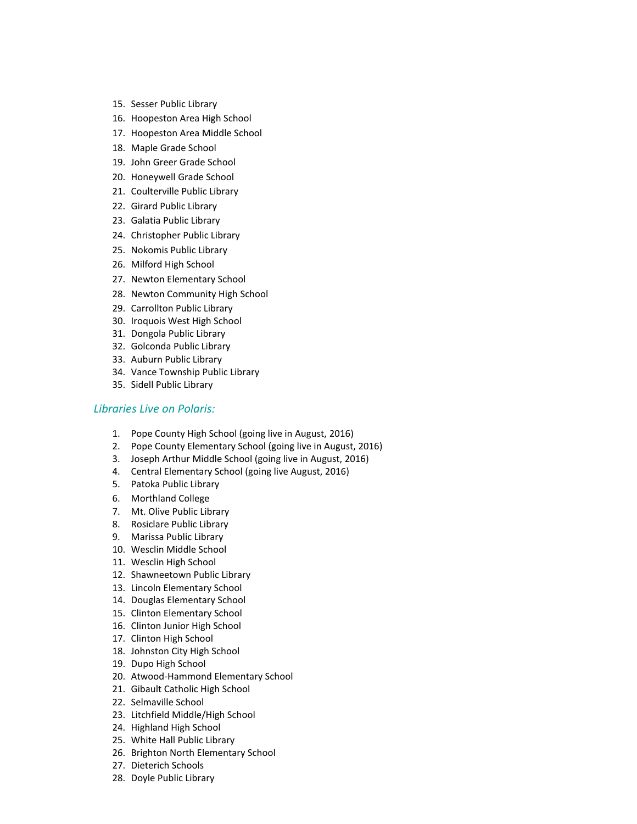- 15. Sesser Public Library
- 16. Hoopeston Area High School
- 17. Hoopeston Area Middle School
- 18. Maple Grade School
- 19. John Greer Grade School
- 20. Honeywell Grade School
- 21. Coulterville Public Library
- 22. Girard Public Library
- 23. Galatia Public Library
- 24. Christopher Public Library
- 25. Nokomis Public Library
- 26. Milford High School
- 27. Newton Elementary School
- 28. Newton Community High School
- 29. Carrollton Public Library
- 30. Iroquois West High School
- 31. Dongola Public Library
- 32. Golconda Public Library
- 33. Auburn Public Library
- 34. Vance Township Public Library
- 35. Sidell Public Library

#### *Libraries Live on Polaris:*

- 1. Pope County High School (going live in August, 2016)
- 2. Pope County Elementary School (going live in August, 2016)
- 3. Joseph Arthur Middle School (going live in August, 2016)
- 4. Central Elementary School (going live August, 2016)
- 5. Patoka Public Library
- 6. Morthland College
- 7. Mt. Olive Public Library
- 8. Rosiclare Public Library
- 9. Marissa Public Library
- 10. Wesclin Middle School
- 11. Wesclin High School
- 12. Shawneetown Public Library
- 13. Lincoln Elementary School
- 14. Douglas Elementary School
- 15. Clinton Elementary School
- 16. Clinton Junior High School
- 17. Clinton High School
- 18. Johnston City High School
- 19. Dupo High School
- 20. Atwood-Hammond Elementary School
- 21. Gibault Catholic High School
- 22. Selmaville School
- 23. Litchfield Middle/High School
- 24. Highland High School
- 25. White Hall Public Library
- 26. Brighton North Elementary School
- 27. Dieterich Schools
- 28. Doyle Public Library